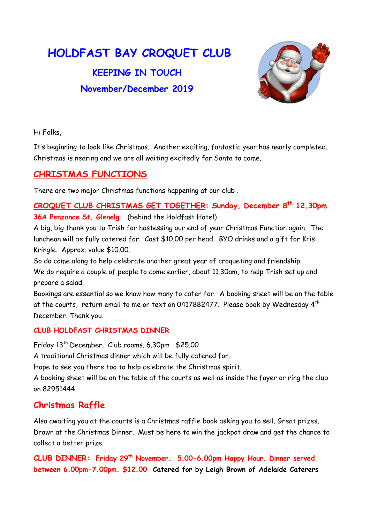# HOLDFAST BAY CROQUET CLUB

## KEEPING IN TOUCH November/December 2019



Hi Folks,

It's beginning to look like Christmas. Another exciting, fantastic year has nearly completed. Christmas is nearing and we are all waiting excitedly for Santa to come.

### CHRISTMAS FUNCTIONS

There are two major Christmas functions happening at our club .

CROQUET CLUB CHRISTMAS GET TOGETHER: Sunday, December 8th 12.30pm 36A Penzance St. Glenelg (behind the Holdfast Hotel)

A big, big thank you to Trish for hostessing our end of year Christmas Function again. The luncheon will be fully catered for. Cost \$10.00 per head. BYO drinks and a gift for Kris Kringle. Approx. value \$10.00.

So do come along to help celebrate another great year of croqueting and friendship. We do require a couple of people to come earlier, about 11.30am, to help Trish set up and prepare a salad.

Bookings are essential so we know how many to cater for. A booking sheet will be on the table at the courts, return email to me or text on 0417882477. Please book by Wednesday 4<sup>th</sup> December. Thank you.

#### CLUB HOLDFAST CHRISTMAS DINNER

Friday 13th December. Club rooms. 6.30pm \$25.00

A traditional Christmas dinner which will be fully catered for.

Hope to see you there too to help celebrate the Christmas spirit.

A booking sheet will be on the table at the courts as well as inside the foyer or ring the club on 82951444

## Christmas Raffle

Also awaiting you at the courts is a Christmas raffle book asking you to sell. Great prizes. Drawn at the Christmas Dinner. Must be here to win the jackpot draw and get the chance to collect a better prize.

CLUB DINNER: Friday 29th November. 5.00-6.00pm Happy Hour. Dinner served between 6.00pm-7.00pm. \$12.00 Catered for by Leigh Brown of Adelaide Caterers